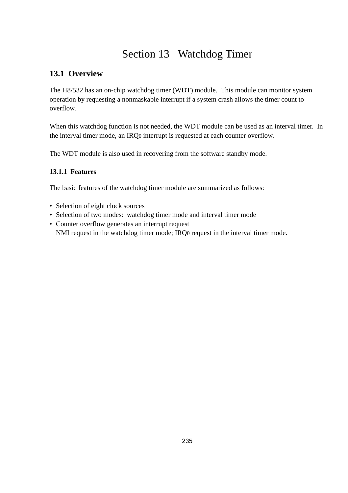# Section 13 Watchdog Timer

# **13.1 Overview**

The H8/532 has an on-chip watchdog timer (WDT) module. This module can monitor system operation by requesting a nonmaskable interrupt if a system crash allows the timer count to overflow.

When this watchdog function is not needed, the WDT module can be used as an interval timer. In the interval timer mode, an IRQ0 interrupt is requested at each counter overflow.

The WDT module is also used in recovering from the software standby mode.

# **13.1.1 Features**

The basic features of the watchdog timer module are summarized as follows:

- Selection of eight clock sources
- Selection of two modes: watchdog timer mode and interval timer mode
- Counter overflow generates an interrupt request NMI request in the watchdog timer mode; IRQ0 request in the interval timer mode.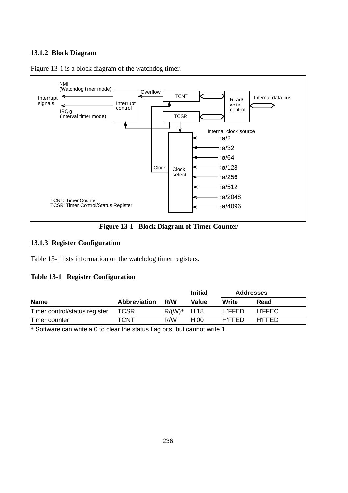#### **13.1.2 Block Diagram**



Figure 13-1 is a block diagram of the watchdog timer.

**Figure 13-1 Block Diagram of Timer Counter**

#### **13.1.3 Register Configuration**

Table 13-1 lists information on the watchdog timer registers.

#### **Table 13-1 Register Configuration**

|                               | <b>Initial</b>      |               |       | <b>Addresses</b> |               |
|-------------------------------|---------------------|---------------|-------|------------------|---------------|
| <b>Name</b>                   | <b>Abbreviation</b> | R/W           | Value | Write            | Read          |
| Timer control/status register | <b>TCSR</b>         | $R/(W)*$ H'18 |       | <b>H'FFED</b>    | H'FFEC        |
| Timer counter                 | TCNT                | R/W           | H'OO  | <b>H'FFED</b>    | <b>H'FFED</b> |

\* Software can write a 0 to clear the status flag bits, but cannot write 1.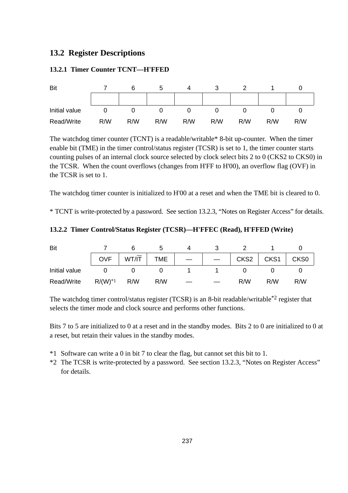# **13.2 Register Descriptions**

#### **13.2.1 Timer Counter TCNT—H'FFED**

| Bit           |     |     |     |     | J   |     |     |     |
|---------------|-----|-----|-----|-----|-----|-----|-----|-----|
|               |     |     |     |     |     |     |     |     |
| Initial value |     |     |     |     |     |     |     |     |
| Read/Write    | R/W | R/W | R/W | R/W | R/W | R/W | R/W | R/W |

The watchdog timer counter (TCNT) is a readable/writable\* 8-bit up-counter. When the timer enable bit (TME) in the timer control/status register (TCSR) is set to 1, the timer counter starts counting pulses of an internal clock source selected by clock select bits 2 to 0 (CKS2 to CKS0) in the TCSR. When the count overflows (changes from H'FF to H'00), an overflow flag (OVF) in the TCSR is set to 1.

The watchdog timer counter is initialized to H'00 at a reset and when the TME bit is cleared to 0.

\* TCNT is write-protected by a password. See section 13.2.3, "Notes on Register Access" for details.

### **13.2.2 Timer Control/Status Register (TCSR)—H'FFEC (Read), H'FFED (Write)**

| Bit           |                        |       |            |  |      |      |                  |
|---------------|------------------------|-------|------------|--|------|------|------------------|
|               | <b>OVF</b>             | WT/IT | <b>TME</b> |  | CKS2 | CKS1 | CKS <sub>0</sub> |
| Initial value |                        |       |            |  |      |      |                  |
| Read/Write    | $R/(W)^*$ <sup>1</sup> | R/W   | R/W        |  | R/W  | R/W  | R/W              |

The watchdog timer control/status register (TCSR) is an 8-bit readable/writable\*2 register that selects the timer mode and clock source and performs other functions.

Bits 7 to 5 are initialized to 0 at a reset and in the standby modes. Bits 2 to 0 are initialized to 0 at a reset, but retain their values in the standby modes.

- \*1 Software can write a 0 in bit 7 to clear the flag, but cannot set this bit to 1.
- \*2 The TCSR is write-protected by a password. See section 13.2.3, "Notes on Register Access" for details.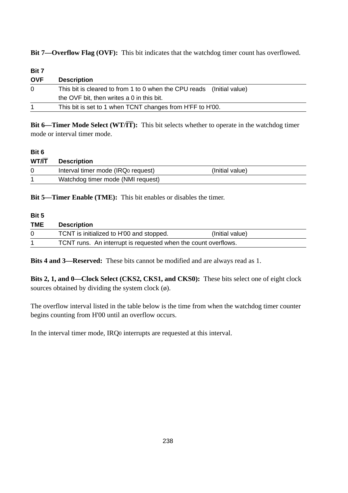**Bit 7—Overflow Flag (OVF):** This bit indicates that the watchdog timer count has overflowed.

| <b>Bit 7</b> |                                                                       |
|--------------|-----------------------------------------------------------------------|
| <b>OVF</b>   | <b>Description</b>                                                    |
| $\Omega$     | This bit is cleared to from 1 to 0 when the CPU reads (Initial value) |
|              | the OVF bit, then writes a 0 in this bit.                             |
|              | This bit is set to 1 when TCNT changes from H'FF to H'00.             |

**Bit 6—Timer Mode Select (WT/** $(T)$ **:** This bit selects whether to operate in the watchdog timer mode or interval timer mode.

#### **Bit 6**

| WT/IT | <b>Description</b>                |                 |
|-------|-----------------------------------|-----------------|
|       | Interval timer mode (IRQ request) | (Initial value) |
|       | Watchdog timer mode (NMI request) |                 |

**Bit 5—Timer Enable (TME):** This bit enables or disables the timer.

#### **Bit 5**

| <b>TME</b> | <b>Description</b>                                             |                 |  |
|------------|----------------------------------------------------------------|-----------------|--|
|            | TCNT is initialized to H'00 and stopped.                       | (Initial value) |  |
|            | TCNT runs. An interrupt is requested when the count overflows. |                 |  |

**Bits 4 and 3—Reserved:** These bits cannot be modified and are always read as 1.

**Bits 2, 1, and 0—Clock Select (CKS2, CKS1, and CKS0):** These bits select one of eight clock sources obtained by dividing the system clock  $(\emptyset)$ .

The overflow interval listed in the table below is the time from when the watchdog timer counter begins counting from H'00 until an overflow occurs.

In the interval timer mode, IRQ0 interrupts are requested at this interval.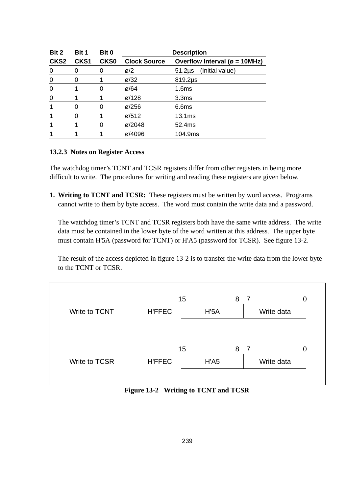| Bit 2            | Bit 1            | Bit 0            | <b>Description</b>  |                                            |  |
|------------------|------------------|------------------|---------------------|--------------------------------------------|--|
| CKS <sub>2</sub> | CKS <sub>1</sub> | CKS <sub>0</sub> | <b>Clock Source</b> | Overflow Interval ( $\varnothing$ = 10MHz) |  |
| 0                | 0                |                  | $\varnothing$ /2    | (Initial value)<br>$51.2\mu s$             |  |
| 0                | 0                |                  | $\varnothing$ /32   | $819.2\mu s$                               |  |
| 0                |                  |                  | $\varnothing$ /64   | 1.6 <sub>ms</sub>                          |  |
| 0                |                  |                  | ø/128               | 3.3 <sub>ms</sub>                          |  |
|                  |                  |                  | ø/256               | 6.6 <sub>ms</sub>                          |  |
|                  |                  |                  | ø/512               | 13.1 <sub>ms</sub>                         |  |
|                  |                  | O                | ø/2048              | 52.4ms                                     |  |
|                  |                  |                  | ø/4096              | 104.9ms                                    |  |

#### **13.2.3 Notes on Register Access**

The watchdog timer's TCNT and TCSR registers differ from other registers in being more difficult to write. The procedures for writing and reading these registers are given below.

**1. Writing to TCNT and TCSR:** These registers must be written by word access. Programs cannot write to them by byte access. The word must contain the write data and a password.

The watchdog timer's TCNT and TCSR registers both have the same write address. The write data must be contained in the lower byte of the word written at this address. The upper byte must contain H'5A (password for TCNT) or H'A5 (password for TCSR). See figure 13-2.

The result of the access depicted in figure 13-2 is to transfer the write data from the lower byte to the TCNT or TCSR.



**Figure 13-2 Writing to TCNT and TCSR**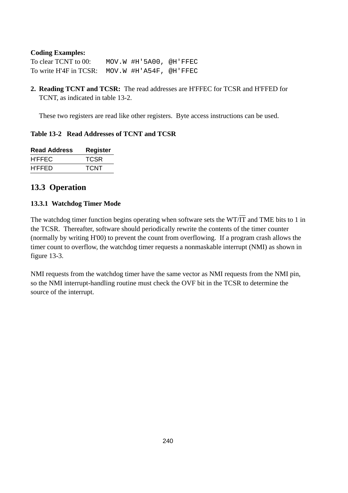#### **Coding Examples:**

To clear TCNT to 00: MOV.W #H'5A00, @H'FFEC To write H'4F in TCSR: MOV.W #H'A54F, @H'FFEC

**2. Reading TCNT and TCSR:** The read addresses are H'FFEC for TCSR and H'FFED for TCNT, as indicated in table 13-2.

These two registers are read like other registers. Byte access instructions can be used.

#### **Table 13-2 Read Addresses of TCNT and TCSR**

| <b>Read Address</b> | Register |
|---------------------|----------|
| H'FFEC              | TCSR     |
| <b>H'FFED</b>       | TCNT     |

# **13.3 Operation**

#### **13.3.1 Watchdog Timer Mode**

The watchdog timer function begins operating when software sets the WT/ $\overline{IT}$  and TME bits to 1 in the TCSR. Thereafter, software should periodically rewrite the contents of the timer counter (normally by writing H'00) to prevent the count from overflowing. If a program crash allows the timer count to overflow, the watchdog timer requests a nonmaskable interrupt (NMI) as shown in figure 13-3.

NMI requests from the watchdog timer have the same vector as NMI requests from the NMI pin, so the NMI interrupt-handling routine must check the OVF bit in the TCSR to determine the source of the interrupt.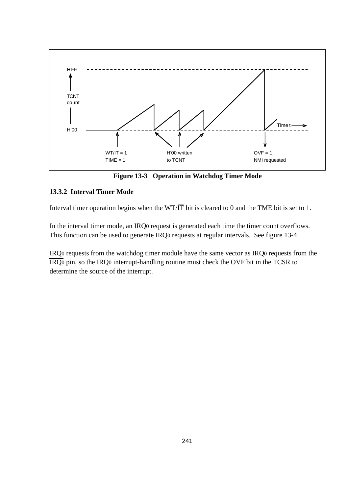

**Figure 13-3 Operation in Watchdog Timer Mode**

### **13.3.2 Interval Timer Mode**

Interval timer operation begins when the WT/ $\overline{IT}$  bit is cleared to 0 and the TME bit is set to 1.

In the interval timer mode, an IRQ0 request is generated each time the timer count overflows. This function can be used to generate IRQ0 requests at regular intervals. See figure 13-4.

IRQ0 requests from the watchdog timer module have the same vector as IRQ0 requests from the IRQ0 pin, so the IRQ0 interrupt-handling routine must check the OVF bit in the TCSR to determine the source of the interrupt.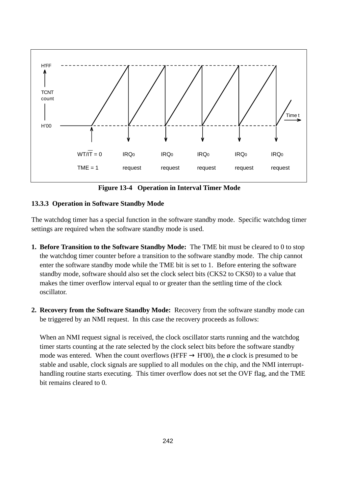

**Figure 13-4 Operation in Interval Timer Mode**

# **13.3.3 Operation in Software Standby Mode**

The watchdog timer has a special function in the software standby mode. Specific watchdog timer settings are required when the software standby mode is used.

- **1. Before Transition to the Software Standby Mode:** The TME bit must be cleared to 0 to stop the watchdog timer counter before a transition to the software standby mode. The chip cannot enter the software standby mode while the TME bit is set to 1. Before entering the software standby mode, software should also set the clock select bits (CKS2 to CKS0) to a value that makes the timer overflow interval equal to or greater than the settling time of the clock oscillator.
- **2. Recovery from the Software Standby Mode:** Recovery from the software standby mode can be triggered by an NMI request. In this case the recovery proceeds as follows:

When an NMI request signal is received, the clock oscillator starts running and the watchdog timer starts counting at the rate selected by the clock select bits before the software standby mode was entered. When the count overflows (H'FF  $\rightarrow$  H'00), the ø clock is presumed to be stable and usable, clock signals are supplied to all modules on the chip, and the NMI interrupthandling routine starts executing. This timer overflow does not set the OVF flag, and the TME bit remains cleared to 0.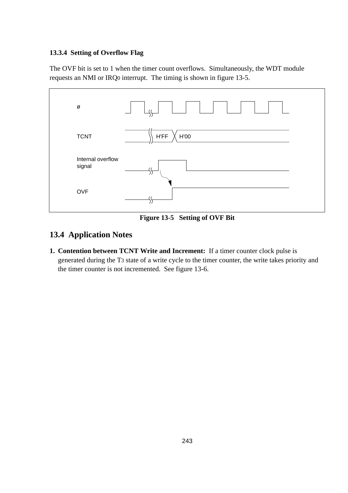### **13.3.4 Setting of Overflow Flag**

The OVF bit is set to 1 when the timer count overflows. Simultaneously, the WDT module requests an NMI or IRQ0 interrupt. The timing is shown in figure 13-5.



**Figure 13-5 Setting of OVF Bit**

# **13.4 Application Notes**

**1. Contention between TCNT Write and Increment:** If a timer counter clock pulse is generated during the T3 state of a write cycle to the timer counter, the write takes priority and the timer counter is not incremented. See figure 13-6.